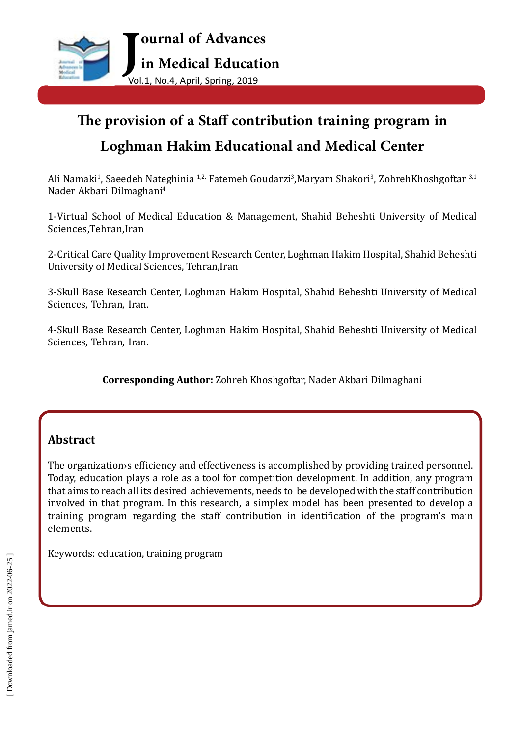

# **The provision of a Staff contribution training program in Loghman Hakim Educational and Medical Center**

Ali Namaki<sup>1</sup>, Saeedeh Nateghinia <sup>1,2,</sup> Fatemeh Goudarzi<sup>3</sup>,Maryam Shakori<sup>3</sup>, ZohrehKhoshgoftar <sup>3,1</sup> Nader Akbari Dilmaghani4

1-Virtual School of Medical Education & Management, Shahid Beheshti University of Medical Sciences,Tehran,Iran

2-Critical Care Quality Improvement Research Center, Loghman Hakim Hospital, Shahid Beheshti University of Medical Sciences, Tehran,Iran

3-Skull Base Research Center, Loghman Hakim Hospital, Shahid Beheshti University of Medical Sciences, Tehran, Iran.

4-Skull Base Research Center, Loghman Hakim Hospital, Shahid Beheshti University of Medical Sciences, Tehran, Iran.

**Corresponding Author:** Zohreh Khoshgoftar, Nader Akbari Dilmaghani

# **Abstract**

The organization›s efficiency and effectiveness is accomplished by providing trained personnel. Today, education plays a role as a tool for competition development. In addition, any program that aims to reach all its desired achievements, needs to be developed with the staff contribution involved in that program. In this research, a simplex model has been presented to develop a training program regarding the staff contribution in identification of the program's main elements.

Keywords: education, training program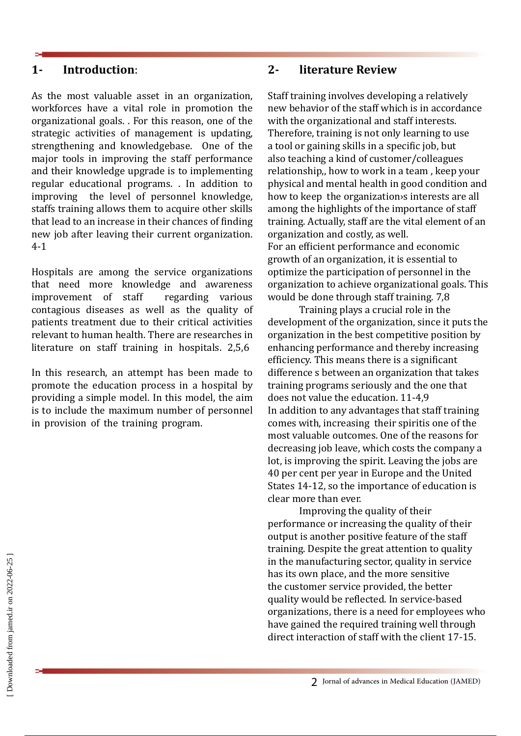## **1- Introduction**:

As the most valuable asset in an organization, workforces have a vital role in promotion the organizational goals. . For this reason, one of the strategic activities of management is updating, strengthening and knowledgebase. One of the major tools in improving the staff performance and their knowledge upgrade is to implementing regular educational programs. . In addition to improving the level of personnel knowledge, staffs training allows them to acquire other skills that lead to an increase in their chances of finding new job after leaving their current organization. 4-1

Hospitals are among the service organizations that need more knowledge and awareness<br>improvement of staff regarding various improvement of staff contagious diseases as well as the quality of patients treatment due to their critical activities relevant to human health. There are researches in literature on staff training in hospitals. 2,5,6

In this research, an attempt has been made to promote the education process in a hospital by providing a simple model. In this model, the aim is to include the maximum number of personnel in provision of the training program.

#### **2- literature Review**

Staff training involves developing a relatively new behavior of the staff which is in accordance with the organizational and staff interests. Therefore, training is not only learning to use a tool or gaining skills in a specific job, but also teaching a kind of customer/colleagues relationship,, how to work in a team , keep your physical and mental health in good condition and how to keep the organization›s interests are all among the highlights of the importance of staff training. Actually, staff are the vital element of an organization and costly, as well. For an efficient performance and economic growth of an organization, it is essential to optimize the participation of personnel in the organization to achieve organizational goals. This would be done through staff training. 7,8

Training plays a crucial role in the development of the organization, since it puts the organization in the best competitive position by enhancing performance and thereby increasing efficiency. This means there is a significant difference s between an organization that takes training programs seriously and the one that does not value the education. 11-4,9 In addition to any advantages that staff training comes with, increasing their spiritis one of the most valuable outcomes. One of the reasons for decreasing job leave, which costs the company a lot, is improving the spirit. Leaving the jobs are 40 per cent per year in Europe and the United States 14-12, so the importance of education is clear more than ever.

Improving the quality of their performance or increasing the quality of their output is another positive feature of the staff training. Despite the great attention to quality in the manufacturing sector, quality in service has its own place, and the more sensitive the customer service provided, the better quality would be reflected. In service-based organizations, there is a need for employees who have gained the required training well through direct interaction of staff with the client 17-15.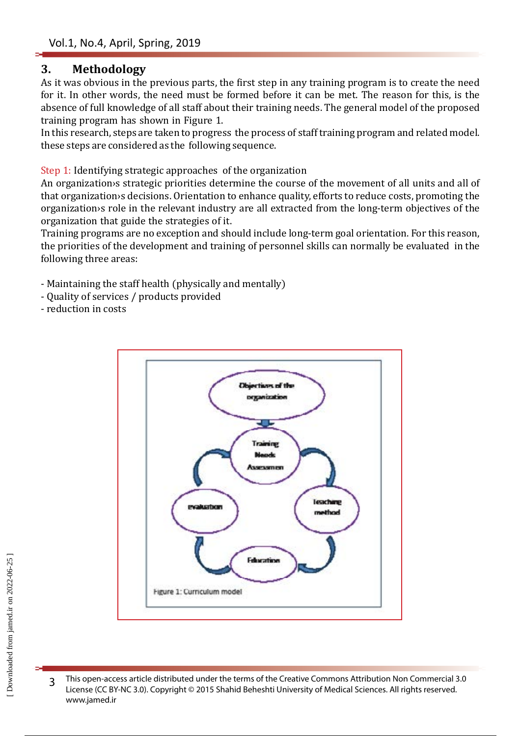## **3. Methodology**

As it was obvious in the previous parts, the first step in any training program is to create the need for it. In other words, the need must be formed before it can be met. The reason for this, is the absence of full knowledge of all staff about their training needs. The general model of the proposed training program has shown in Figure 1.

In this research, steps are taken to progress the process of staff training program and related model. these steps are considered as the following sequence.

Step 1: Identifying strategic approaches of the organization

An organization›s strategic priorities determine the course of the movement of all units and all of that organization›s decisions. Orientation to enhance quality, efforts to reduce costs, promoting the organization›s role in the relevant industry are all extracted from the long-term objectives of the organization that guide the strategies of it.

Training programs are no exception and should include long-term goal orientation. For this reason, the priorities of the development and training of personnel skills can normally be evaluated in the following three areas:

- Maintaining the staff health (physically and mentally)
- Quality of services / products provided
- reduction in costs



3 This open-access article distributed under the terms of the Creative Commons Attribution Non Commercial 3.0 License (CC BY-NC 3.0). Copyright © 2015 Shahid Beheshti University of Medical Sciences. All rights reserved. www.jamed.ir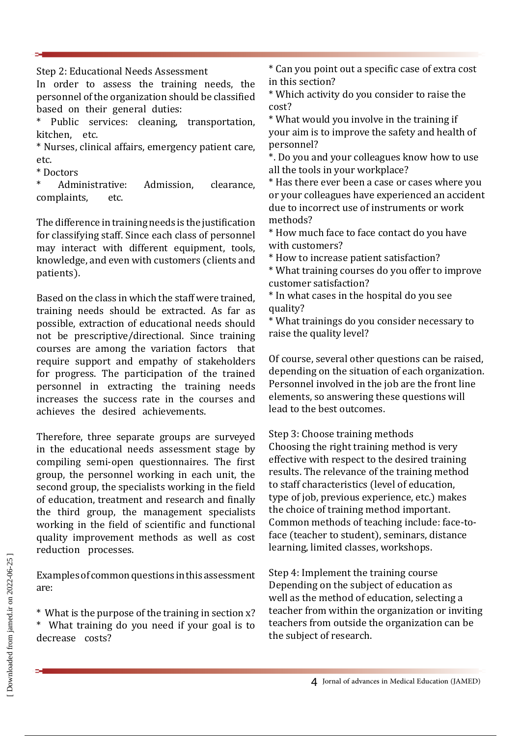Step 2: Educational Needs Assessment

In order to assess the training needs, the personnel of the organization should be classified based on their general duties:<br>\* Public services: cleaning

Public services: cleaning, transportation, kitchen, etc.

\* Nurses, clinical affairs, emergency patient care, etc.

\* Doctors

Administrative: Admission, clearance,<br>plaints. etc. complaints,

The difference in training needs is the justification for classifying staff. Since each class of personnel may interact with different equipment, tools, knowledge, and even with customers (clients and patients).

Based on the class in which the staff were trained, training needs should be extracted. As far as possible, extraction of educational needs should not be prescriptive/directional. Since training courses are among the variation factors that require support and empathy of stakeholders for progress. The participation of the trained personnel in extracting the training needs increases the success rate in the courses and achieves the desired achievements.

Therefore, three separate groups are surveyed in the educational needs assessment stage by compiling semi-open questionnaires. The first group, the personnel working in each unit, the second group, the specialists working in the field of education, treatment and research and finally the third group, the management specialists working in the field of scientific and functional quality improvement methods as well as cost reduction processes.

Examples of common questions in this assessment are:

\* What is the purpose of the training in section x? \* What training do you need if your goal is to decrease costs?

\* Can you point out a specific case of extra cost in this section?

\* Which activity do you consider to raise the cost?

\* What would you involve in the training if your aim is to improve the safety and health of personnel?

\*. Do you and your colleagues know how to use all the tools in your workplace?

\* Has there ever been a case or cases where you or your colleagues have experienced an accident due to incorrect use of instruments or work methods?

\* How much face to face contact do you have with customers?

\* How to increase patient satisfaction?

\* What training courses do you offer to improve customer satisfaction?

\* In what cases in the hospital do you see quality?

\* What trainings do you consider necessary to raise the quality level?

Of course, several other questions can be raised, depending on the situation of each organization. Personnel involved in the job are the front line elements, so answering these questions will lead to the best outcomes.

Step 3: Choose training methods Choosing the right training method is very effective with respect to the desired training results. The relevance of the training method to staff characteristics (level of education, type of job, previous experience, etc.) makes the choice of training method important. Common methods of teaching include: face-toface (teacher to student), seminars, distance learning, limited classes, workshops.

Step 4: Implement the training course Depending on the subject of education as well as the method of education, selecting a teacher from within the organization or inviting teachers from outside the organization can be the subject of research.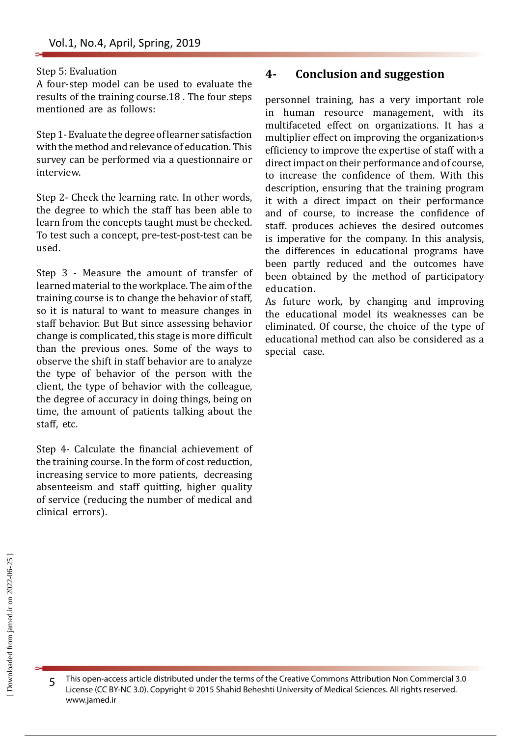#### Step 5: Evaluation

A four-step model can be used to evaluate the results of the training course.18 . The four steps mentioned are as follows:

Step 1- Evaluate the degree of learner satisfaction with the method and relevance of education. This survey can be performed via a questionnaire or interview.

Step 2- Check the learning rate. In other words, the degree to which the staff has been able to learn from the concepts taught must be checked. To test such a concept, pre-test-post-test can be used.

Step 3 - Measure the amount of transfer of learned material to the workplace. The aim of the training course is to change the behavior of staff, so it is natural to want to measure changes in staff behavior. But But since assessing behavior change is complicated, this stage is more difficult than the previous ones. Some of the ways to observe the shift in staff behavior are to analyze the type of behavior of the person with the client, the type of behavior with the colleague, the degree of accuracy in doing things, being on time, the amount of patients talking about the staff, etc.

Step 4- Calculate the financial achievement of the training course. In the form of cost reduction, increasing service to more patients, decreasing absenteeism and staff quitting, higher quality of service (reducing the number of medical and clinical errors).

### **4- Conclusion and suggestion**

personnel training, has a very important role in human resource management, with its multifaceted effect on organizations. It has a multiplier effect on improving the organization›s efficiency to improve the expertise of staff with a direct impact on their performance and of course, to increase the confidence of them. With this description, ensuring that the training program it with a direct impact on their performance and of course, to increase the confidence of staff. produces achieves the desired outcomes is imperative for the company. In this analysis, the differences in educational programs have been partly reduced and the outcomes have been obtained by the method of participatory education.

As future work, by changing and improving the educational model its weaknesses can be eliminated. Of course, the choice of the type of educational method can also be considered as a special case.

5 This open-access article distributed under the terms of the Creative Commons Attribution Non Commercial 3.0 License (CC BY-NC 3.0). Copyright © 2015 Shahid Beheshti University of Medical Sciences. All rights reserved. www.jamed.ir